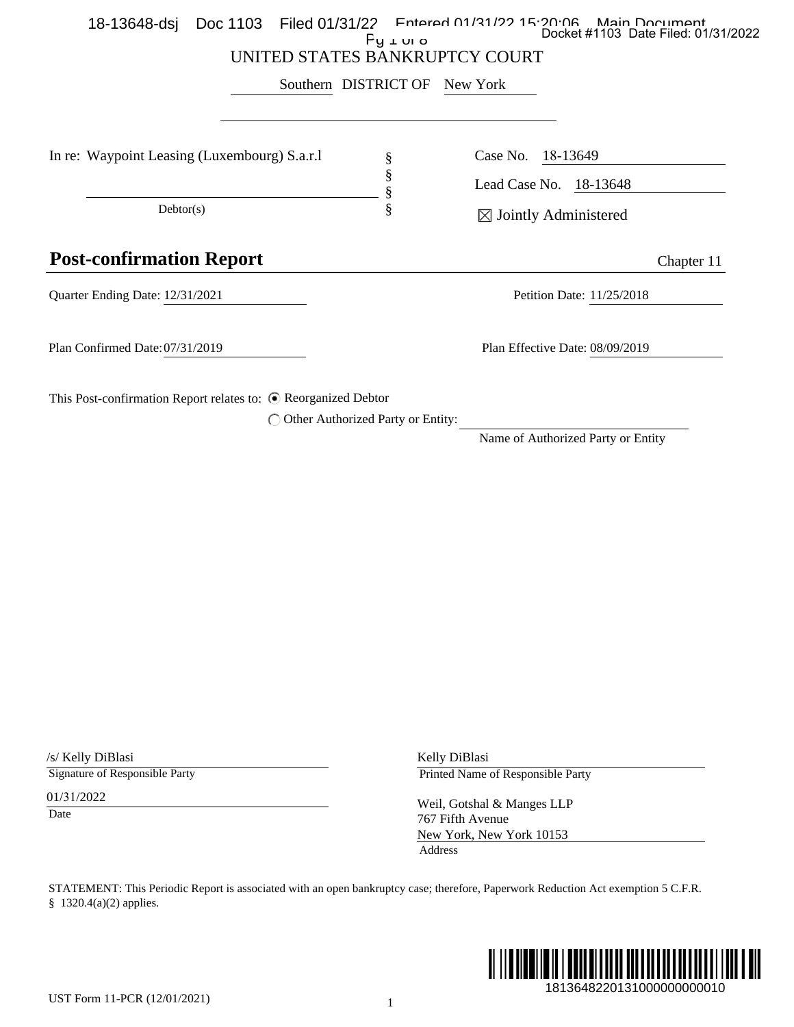|                                                                           |                                     | Southern DISTRICT OF | New York                                                                                                                          |
|---------------------------------------------------------------------------|-------------------------------------|----------------------|-----------------------------------------------------------------------------------------------------------------------------------|
| In re: Waypoint Leasing (Luxembourg) S.a.r.l                              |                                     | §                    | Case No.<br>18-13649                                                                                                              |
|                                                                           |                                     | §<br>§               | Lead Case No. 18-13648                                                                                                            |
| Dektor(s)                                                                 |                                     | §                    | $\boxtimes$ Jointly Administered                                                                                                  |
| <b>Post-confirmation Report</b>                                           |                                     |                      | Chapter 11                                                                                                                        |
| Quarter Ending Date: 12/31/2021                                           |                                     |                      | Petition Date: 11/25/2018                                                                                                         |
| Plan Confirmed Date: 07/31/2019                                           |                                     |                      | Plan Effective Date: 08/09/2019                                                                                                   |
| This Post-confirmation Report relates to: © Reorganized Debtor            |                                     |                      |                                                                                                                                   |
|                                                                           | ◯ Other Authorized Party or Entity: |                      | Name of Authorized Party or Entity                                                                                                |
|                                                                           |                                     |                      |                                                                                                                                   |
|                                                                           |                                     |                      |                                                                                                                                   |
|                                                                           |                                     |                      |                                                                                                                                   |
|                                                                           |                                     |                      |                                                                                                                                   |
|                                                                           |                                     |                      |                                                                                                                                   |
|                                                                           |                                     |                      |                                                                                                                                   |
|                                                                           |                                     |                      |                                                                                                                                   |
|                                                                           |                                     |                      |                                                                                                                                   |
|                                                                           |                                     |                      |                                                                                                                                   |
|                                                                           |                                     |                      |                                                                                                                                   |
|                                                                           |                                     |                      |                                                                                                                                   |
|                                                                           |                                     |                      |                                                                                                                                   |
|                                                                           |                                     |                      |                                                                                                                                   |
|                                                                           |                                     |                      |                                                                                                                                   |
|                                                                           |                                     |                      |                                                                                                                                   |
|                                                                           |                                     |                      |                                                                                                                                   |
|                                                                           |                                     |                      | Kelly DiBlasi<br>Printed Name of Responsible Party                                                                                |
|                                                                           |                                     |                      |                                                                                                                                   |
|                                                                           |                                     |                      | Weil, Gotshal & Manges LLP<br>767 Fifth Avenue                                                                                    |
|                                                                           |                                     | Address              | New York, New York 10153                                                                                                          |
| /s/ Kelly DiBlasi<br>Signature of Responsible Party<br>01/31/2022<br>Date |                                     |                      | STATEMENT: This Periodic Report is associated with an open bankruptcy case; therefore, Paperwork Reduction Act exemption 5 C.F.R. |
| § 1320.4(a)(2) applies.                                                   |                                     |                      |                                                                                                                                   |

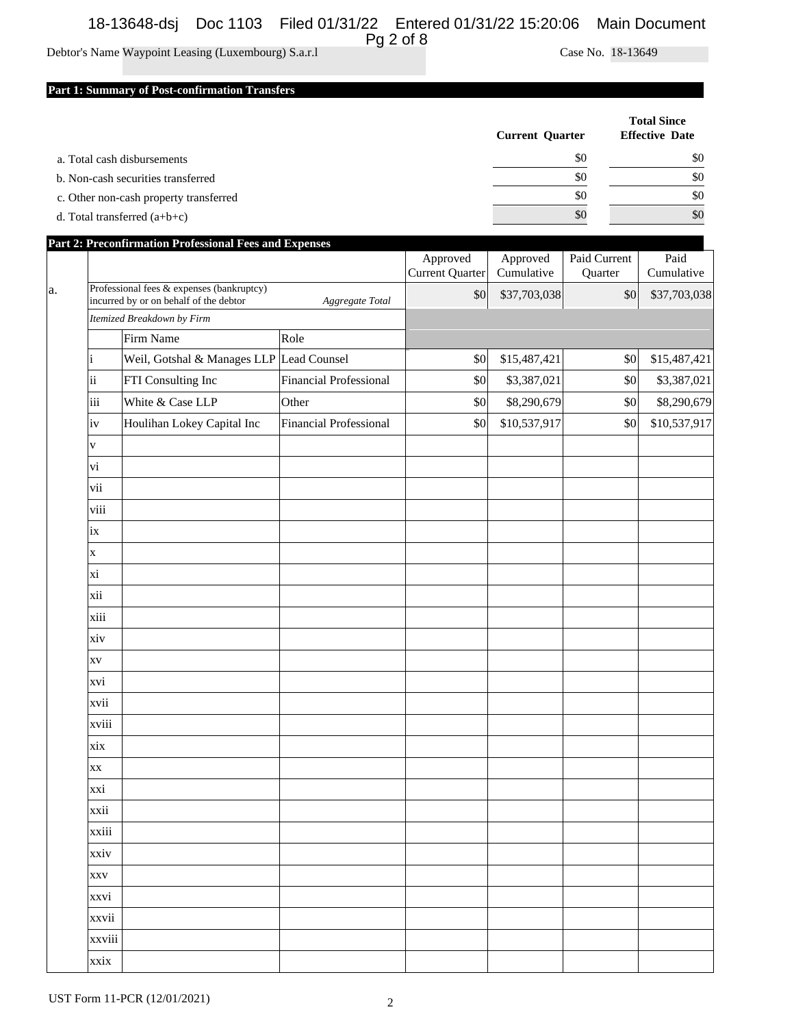# 18-13648-dsj Doc 1103 Filed 01/31/22 Entered 01/31/22 15:20:06 Main Document Pg 2 of 8

## Debtor's Name Waypoint Leasing (Luxembourg) S.a.r.l Case No. 18-13649

### **Part 1: Summary of Post-confirmation Transfers**

|                                        | <b>Current Quarter</b> | <b>Total Since</b><br><b>Effective Date</b> |
|----------------------------------------|------------------------|---------------------------------------------|
| a. Total cash disbursements            | \$0                    | \$0                                         |
| b. Non-cash securities transferred     | \$0                    | \$0                                         |
| c. Other non-cash property transferred | \$0                    | \$0                                         |
| d. Total transferred $(a+b+c)$         | \$0                    | \$0                                         |

|    |                         | Part 2: Preconfirmation Professional Fees and Expenses                                                 |                               |                                    |                        |                         |                    |
|----|-------------------------|--------------------------------------------------------------------------------------------------------|-------------------------------|------------------------------------|------------------------|-------------------------|--------------------|
|    |                         |                                                                                                        |                               | Approved<br><b>Current Quarter</b> | Approved<br>Cumulative | Paid Current<br>Quarter | Paid<br>Cumulative |
| a. |                         | Professional fees & expenses (bankruptcy)<br>incurred by or on behalf of the debtor<br>Aggregate Total |                               |                                    | \$37,703,038           | \$0                     | \$37,703,038       |
|    |                         | Itemized Breakdown by Firm                                                                             |                               |                                    |                        |                         |                    |
|    |                         | Firm Name                                                                                              | Role                          |                                    |                        |                         |                    |
|    |                         | Weil, Gotshal & Manages LLP Lead Counsel                                                               |                               | \$0                                | \$15,487,421           | \$0                     | \$15,487,421       |
|    | ii                      | FTI Consulting Inc                                                                                     | <b>Financial Professional</b> | \$0                                | \$3,387,021            | \$0                     | \$3,387,021        |
|    | iii                     | White & Case LLP                                                                                       | Other                         | \$0                                | \$8,290,679            | \$0                     | \$8,290,679        |
|    | iv                      | Houlihan Lokey Capital Inc                                                                             | <b>Financial Professional</b> | \$0                                | \$10,537,917           | \$0                     | \$10,537,917       |
|    | V                       |                                                                                                        |                               |                                    |                        |                         |                    |
|    | vi                      |                                                                                                        |                               |                                    |                        |                         |                    |
|    | vii                     |                                                                                                        |                               |                                    |                        |                         |                    |
|    | viii                    |                                                                                                        |                               |                                    |                        |                         |                    |
|    | ix                      |                                                                                                        |                               |                                    |                        |                         |                    |
|    | $\mathbf X$             |                                                                                                        |                               |                                    |                        |                         |                    |
|    | xi                      |                                                                                                        |                               |                                    |                        |                         |                    |
|    | xii                     |                                                                                                        |                               |                                    |                        |                         |                    |
|    | xiii                    |                                                                                                        |                               |                                    |                        |                         |                    |
|    | xiv                     |                                                                                                        |                               |                                    |                        |                         |                    |
|    | XV                      |                                                                                                        |                               |                                    |                        |                         |                    |
|    | xvi                     |                                                                                                        |                               |                                    |                        |                         |                    |
|    | xvii                    |                                                                                                        |                               |                                    |                        |                         |                    |
|    | xviii                   |                                                                                                        |                               |                                    |                        |                         |                    |
|    | xix                     |                                                                                                        |                               |                                    |                        |                         |                    |
|    | $\mathbf{X} \mathbf{X}$ |                                                                                                        |                               |                                    |                        |                         |                    |
|    | xxi                     |                                                                                                        |                               |                                    |                        |                         |                    |
|    | xxii                    |                                                                                                        |                               |                                    |                        |                         |                    |
|    | xxiii                   |                                                                                                        |                               |                                    |                        |                         |                    |
|    | xxiv                    |                                                                                                        |                               |                                    |                        |                         |                    |
|    | <b>XXV</b>              |                                                                                                        |                               |                                    |                        |                         |                    |
|    | xxvi                    |                                                                                                        |                               |                                    |                        |                         |                    |
|    | xxvii                   |                                                                                                        |                               |                                    |                        |                         |                    |
|    | xxviii                  |                                                                                                        |                               |                                    |                        |                         |                    |
|    | xxix                    |                                                                                                        |                               |                                    |                        |                         |                    |

UST Form 11-PCR (12/01/2021) 2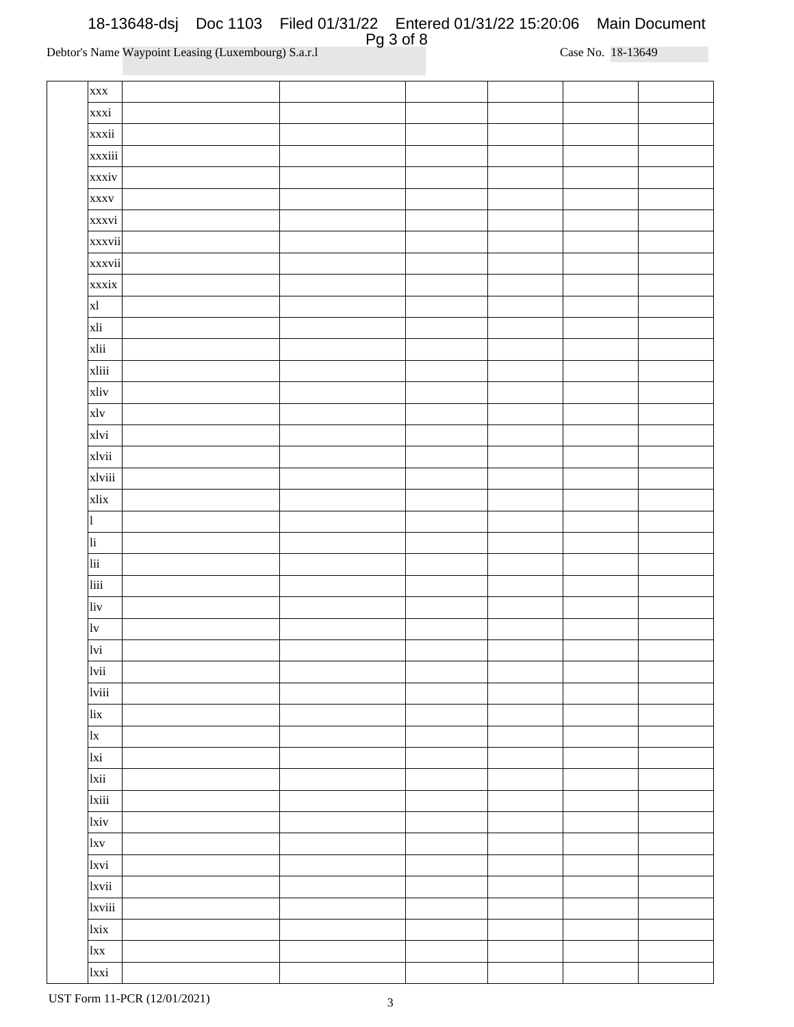| <b>XXX</b>             |  |  |  |
|------------------------|--|--|--|
| xxxi                   |  |  |  |
| xxxii                  |  |  |  |
| xxxiii                 |  |  |  |
| xxxiv                  |  |  |  |
| <b>XXXV</b>            |  |  |  |
| xxxvi                  |  |  |  |
| xxxvii                 |  |  |  |
| xxxvii                 |  |  |  |
| xxxix                  |  |  |  |
| x1                     |  |  |  |
| xli                    |  |  |  |
| xlii                   |  |  |  |
| xliii                  |  |  |  |
| xliv                   |  |  |  |
| xlv                    |  |  |  |
| xlvi                   |  |  |  |
| xlvii                  |  |  |  |
| xlviii                 |  |  |  |
| xlix                   |  |  |  |
| $\vert$ 1              |  |  |  |
| $\overline{\text{li}}$ |  |  |  |
| lii                    |  |  |  |
| liii                   |  |  |  |
| liv                    |  |  |  |
| $ _{\mathrm{lv}}$      |  |  |  |
| lvi                    |  |  |  |
| lvii                   |  |  |  |
| lviii                  |  |  |  |
| lix                    |  |  |  |
| x                      |  |  |  |
| lxi                    |  |  |  |
| lxii                   |  |  |  |
| 1xiii                  |  |  |  |
| <sub>lxiv</sub>        |  |  |  |
| l x v                  |  |  |  |
| 1xvi                   |  |  |  |
| 1xvii                  |  |  |  |
| 1xviii                 |  |  |  |
| lxix                   |  |  |  |
| lxx                    |  |  |  |
| lxxi                   |  |  |  |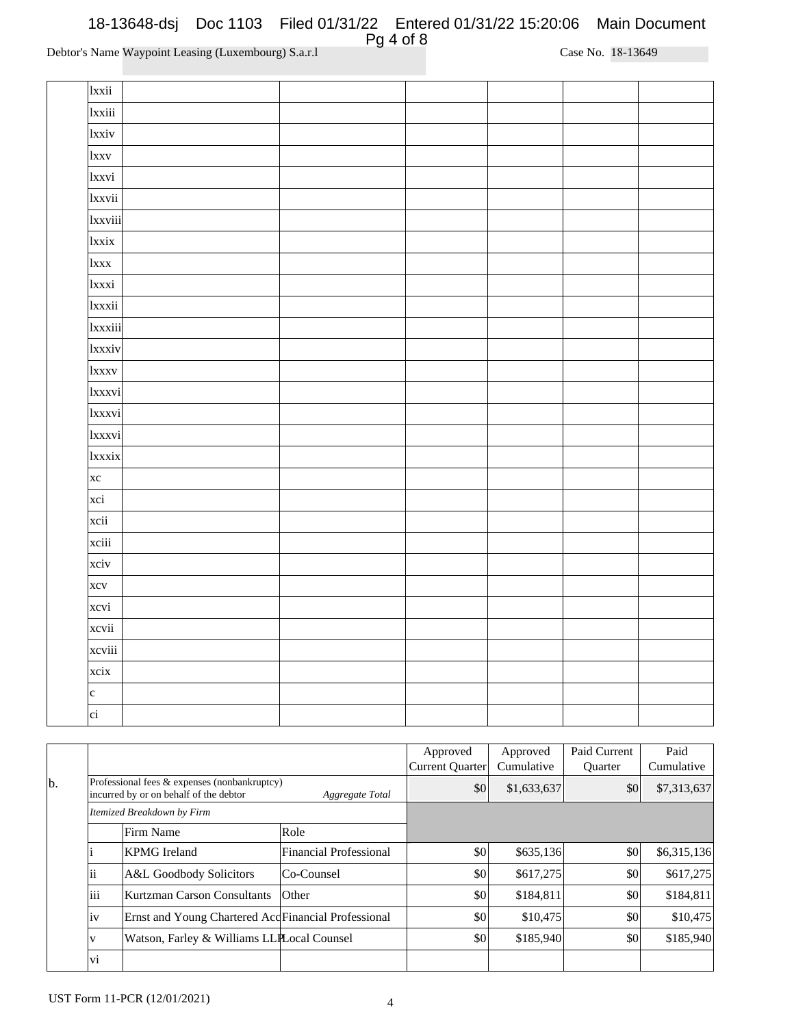| 1xxii            |  |  |  |
|------------------|--|--|--|
| lxxiii           |  |  |  |
| 1xxiv            |  |  |  |
| <b>lxxv</b>      |  |  |  |
| 1xxvi            |  |  |  |
| lxxvii           |  |  |  |
| 1xxviii          |  |  |  |
| lxxix            |  |  |  |
| <sub>1</sub> xxx |  |  |  |
| 1xxxi            |  |  |  |
| lxxxii           |  |  |  |
| 1xxxiii          |  |  |  |
| 1xxxiv           |  |  |  |
| 1xxxv            |  |  |  |
| 1xxxvi           |  |  |  |
| 1xxxvi           |  |  |  |
| 1xxxvi           |  |  |  |
| lxxxix           |  |  |  |
| $\vert$ xc       |  |  |  |
| xci              |  |  |  |
| xcii             |  |  |  |
| xciii            |  |  |  |
| xciv             |  |  |  |
| xcv              |  |  |  |
| xcvi             |  |  |  |
| xcvii            |  |  |  |
| xcviii           |  |  |  |
| xcix             |  |  |  |
| $\vert c \vert$  |  |  |  |
| ci               |  |  |  |

|    |     |                                                                                        |                               | Approved<br>Current Quarter | Approved<br>Cumulative | Paid Current<br><b>Ouarter</b> | Paid<br>Cumulative |
|----|-----|----------------------------------------------------------------------------------------|-------------------------------|-----------------------------|------------------------|--------------------------------|--------------------|
| b. |     | Professional fees & expenses (nonbankruptcy)<br>incurred by or on behalf of the debtor | Aggregate Total               | \$0                         | \$1,633,637            | \$0                            | \$7,313,637        |
|    |     | Itemized Breakdown by Firm                                                             |                               |                             |                        |                                |                    |
|    |     | Firm Name                                                                              | Role                          |                             |                        |                                |                    |
|    |     | <b>KPMG</b> Ireland                                                                    | <b>Financial Professional</b> | \$0                         | \$635,136              | \$0                            | \$6,315,136        |
|    | 11  | A&L Goodbody Solicitors                                                                | Co-Counsel                    | \$0                         | \$617,275              | \$0                            | \$617,275          |
|    | iii | Kurtzman Carson Consultants                                                            | $O$ ther                      | \$0                         | \$184,811              | \$0                            | \$184,811          |
|    | iv  | Ernst and Young Chartered Acd Financial Professional                                   |                               | \$0                         | \$10,475               | \$0                            | \$10,475           |
|    | V   | Watson, Farley & Williams LLPLocal Counsel                                             |                               | \$0                         | \$185,940              | \$0                            | \$185,940          |
|    | vi  |                                                                                        |                               |                             |                        |                                |                    |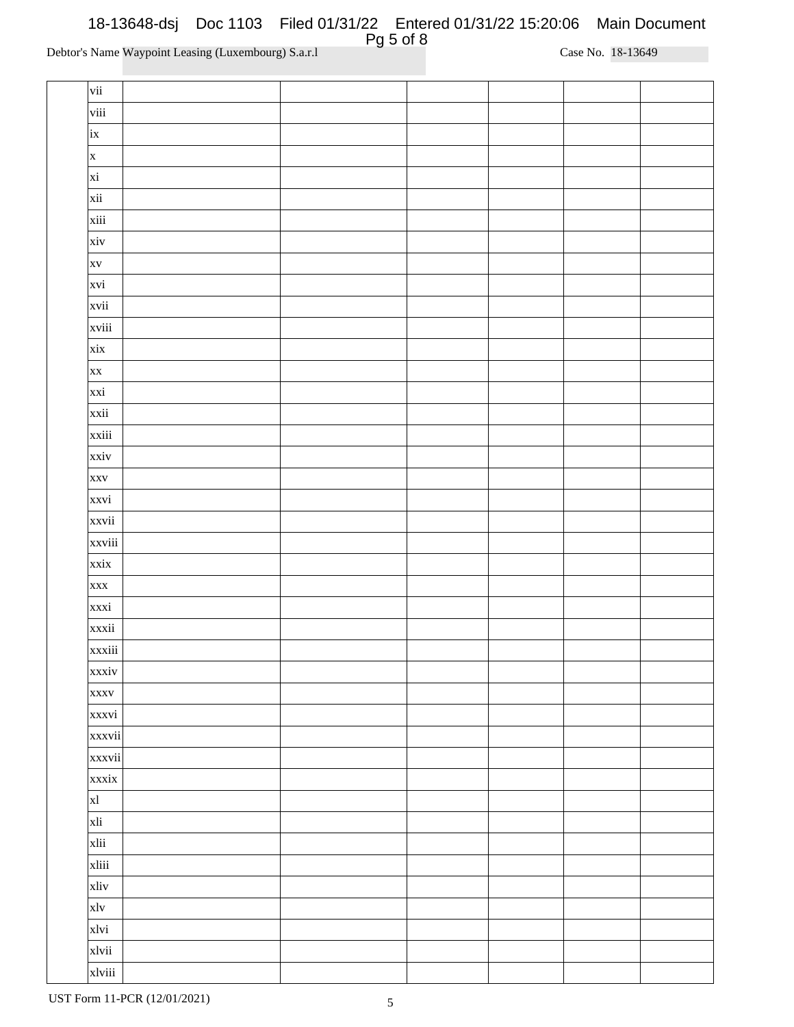| $\vert$ vii  |  |  |  |
|--------------|--|--|--|
| $\vert$ viii |  |  |  |
| $\vert$ ix   |  |  |  |
| $\mathbf{x}$ |  |  |  |
| $\vert$ xi   |  |  |  |
| xii          |  |  |  |
| xiii         |  |  |  |
| xiv          |  |  |  |
| <b>XV</b>    |  |  |  |
| xvi          |  |  |  |
| xvii         |  |  |  |
| xviii        |  |  |  |
| xix          |  |  |  |
| <b>XX</b>    |  |  |  |
| xxi          |  |  |  |
|              |  |  |  |
| xxii         |  |  |  |
| xxiii        |  |  |  |
| xxiv         |  |  |  |
| <b>XXV</b>   |  |  |  |
| xxvi         |  |  |  |
| xxvii        |  |  |  |
| xxviii       |  |  |  |
| xxix         |  |  |  |
| <b>XXX</b>   |  |  |  |
| xxxi         |  |  |  |
| xxxii        |  |  |  |
| xxxiii       |  |  |  |
| xxxiv        |  |  |  |
| <b>XXXV</b>  |  |  |  |
| xxxvi        |  |  |  |
| xxxvii       |  |  |  |
| xxxvii       |  |  |  |
| xxxix        |  |  |  |
| x            |  |  |  |
| xli          |  |  |  |
| xlii         |  |  |  |
| xliii        |  |  |  |
| xliv         |  |  |  |
| x1v          |  |  |  |
| xlvi         |  |  |  |
| xlvii        |  |  |  |
| xlviii       |  |  |  |
|              |  |  |  |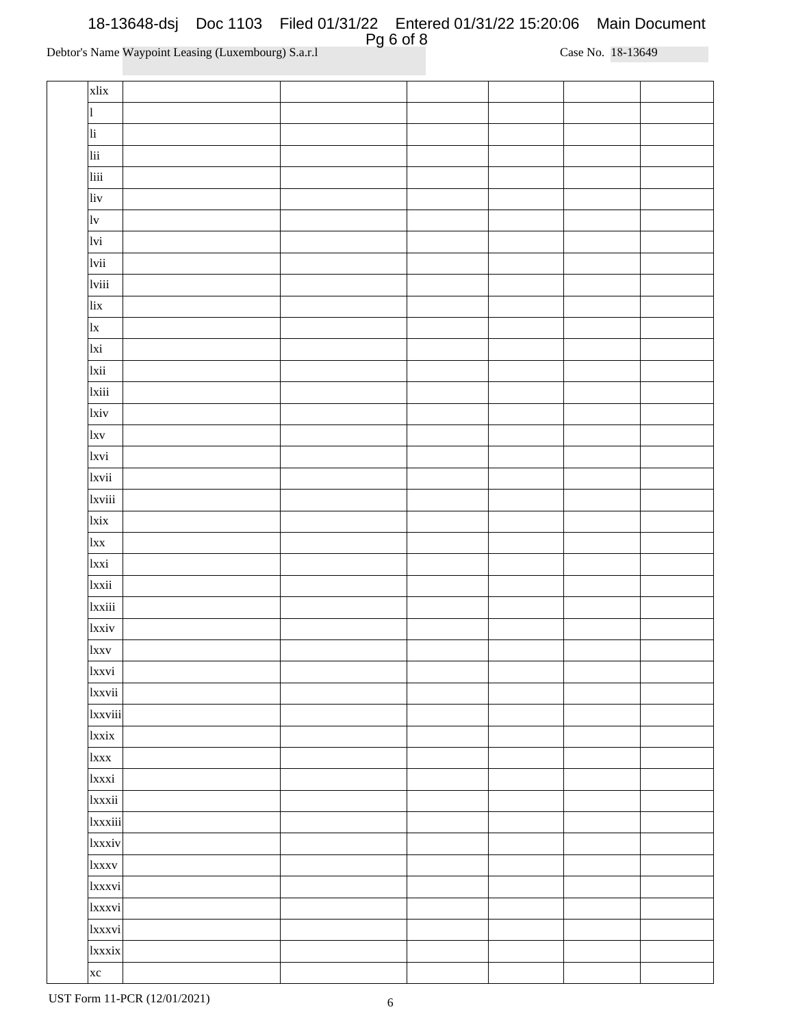| xlix              |  |  |  |
|-------------------|--|--|--|
| $\vert$ 1         |  |  |  |
| li                |  |  |  |
| lii               |  |  |  |
| liii              |  |  |  |
| liv               |  |  |  |
| 1v                |  |  |  |
| lvi               |  |  |  |
| lvii              |  |  |  |
| lviii             |  |  |  |
| lix               |  |  |  |
| x                 |  |  |  |
| lxi               |  |  |  |
| lxii              |  |  |  |
| 1xiii             |  |  |  |
| $\vert xiv \vert$ |  |  |  |
| l x v             |  |  |  |
| 1xvi              |  |  |  |
| 1xvii             |  |  |  |
|                   |  |  |  |
| 1xviii            |  |  |  |
| lxix              |  |  |  |
| $\vert x \vert x$ |  |  |  |
| lxxi              |  |  |  |
| lxxii             |  |  |  |
| 1xxiii            |  |  |  |
| 1xxiv             |  |  |  |
| <sub>lxxv</sub>   |  |  |  |
| 1xxvi             |  |  |  |
| 1xxvii            |  |  |  |
| 1xxviii           |  |  |  |
| <sub>lxxix</sub>  |  |  |  |
| 1xxx              |  |  |  |
| 1xxxi             |  |  |  |
| 1xxxii            |  |  |  |
| 1xxxiii           |  |  |  |
| 1xxxiv            |  |  |  |
| 1xxxv             |  |  |  |
| 1xxxvi            |  |  |  |
| 1xxxvi            |  |  |  |
| 1xxxvi            |  |  |  |
| 1xxxix            |  |  |  |
| $x$ c             |  |  |  |
|                   |  |  |  |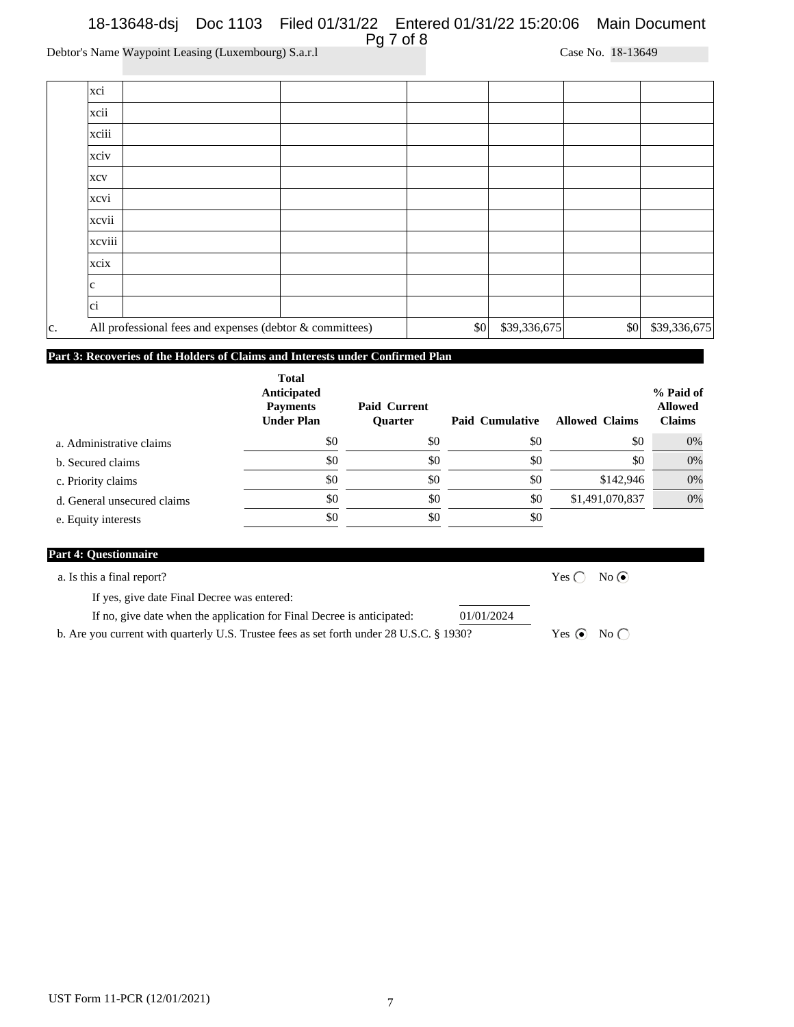|     | xci                                                      |     |              |                         |              |
|-----|----------------------------------------------------------|-----|--------------|-------------------------|--------------|
|     | xcii                                                     |     |              |                         |              |
|     | xciii                                                    |     |              |                         |              |
|     | xciv                                                     |     |              |                         |              |
|     | <b>XCV</b>                                               |     |              |                         |              |
|     | xcvi                                                     |     |              |                         |              |
|     | xcvii                                                    |     |              |                         |              |
|     | xcviii                                                   |     |              |                         |              |
|     | xcix                                                     |     |              |                         |              |
|     | lc.                                                      |     |              |                         |              |
|     | ci                                                       |     |              |                         |              |
| lc. | All professional fees and expenses (debtor & committees) | \$0 | \$39,336,675 | $\vert \$\text{0}\vert$ | \$39,336,675 |

# **Part 3: Recoveries of the Holders of Claims and Interests under Confirmed Plan**

|                             | <b>Total</b><br>Anticipated<br><b>Payments</b><br><b>Under Plan</b> | Paid Current<br><b>Ouarter</b> | <b>Paid Cumulative</b> | <b>Allowed Claims</b> | % Paid of<br><b>Allowed</b><br><b>Claims</b> |
|-----------------------------|---------------------------------------------------------------------|--------------------------------|------------------------|-----------------------|----------------------------------------------|
| a. Administrative claims    | \$0                                                                 | \$0                            | \$0                    | \$0                   | 0%                                           |
| b. Secured claims           | \$0                                                                 | \$0                            | \$0                    | \$0                   | 0%                                           |
| c. Priority claims          | \$0                                                                 | \$0                            | \$0                    | \$142,946             | 0%                                           |
| d. General unsecured claims | \$0                                                                 | \$0                            | \$0                    | \$1,491,070,837       | 0%                                           |
| e. Equity interests         | \$0                                                                 | \$0                            | \$0                    |                       |                                              |

| <b>Part 4: Questionnaire</b>                                                             |                        |
|------------------------------------------------------------------------------------------|------------------------|
| a. Is this a final report?                                                               | No(<br>Yes ( $\cap$    |
| If yes, give date Final Decree was entered:                                              |                        |
| If no, give date when the application for Final Decree is anticipated:<br>01/01/2024     |                        |
| b. Are you current with quarterly U.S. Trustee fees as set forth under 28 U.S.C. § 1930? | Yes $\odot$ No $\odot$ |
|                                                                                          |                        |